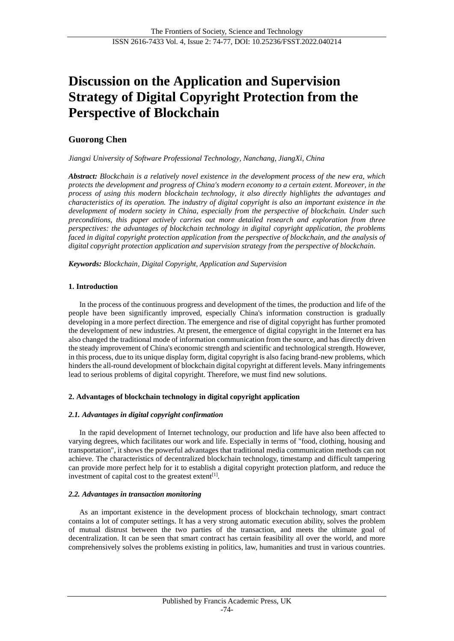# **Discussion on the Application and Supervision Strategy of Digital Copyright Protection from the Perspective of Blockchain**

# **Guorong Chen**

*Jiangxi University of Software Professional Technology, Nanchang, JiangXi, China*

*Abstract: Blockchain is a relatively novel existence in the development process of the new era, which protects the development and progress of China's modern economy to a certain extent. Moreover, in the process of using this modern blockchain technology, it also directly highlights the advantages and characteristics of its operation. The industry of digital copyright is also an important existence in the development of modern society in China, especially from the perspective of blockchain. Under such preconditions, this paper actively carries out more detailed research and exploration from three perspectives: the advantages of blockchain technology in digital copyright application, the problems faced in digital copyright protection application from the perspective of blockchain, and the analysis of digital copyright protection application and supervision strategy from the perspective of blockchain.*

*Keywords: Blockchain, Digital Copyright, Application and Supervision*

# **1. Introduction**

In the process of the continuous progress and development of the times, the production and life of the people have been significantly improved, especially China's information construction is gradually developing in a more perfect direction. The emergence and rise of digital copyright has further promoted the development of new industries. At present, the emergence of digital copyright in the Internet era has also changed the traditional mode of information communication from the source, and has directly driven the steady improvement of China's economic strength and scientific and technological strength. However, in this process, due to its unique display form, digital copyright is also facing brand-new problems, which hinders the all-round development of blockchain digital copyright at different levels. Many infringements lead to serious problems of digital copyright. Therefore, we must find new solutions.

# **2. Advantages of blockchain technology in digital copyright application**

# *2.1. Advantages in digital copyright confirmation*

In the rapid development of Internet technology, our production and life have also been affected to varying degrees, which facilitates our work and life. Especially in terms of "food, clothing, housing and transportation", it shows the powerful advantages that traditional media communication methods can not achieve. The characteristics of decentralized blockchain technology, timestamp and difficult tampering can provide more perfect help for it to establish a digital copyright protection platform, and reduce the investment of capital cost to the greatest extent<sup>[\[1\]](#page-3-0)</sup>.

# *2.2. Advantages in transaction monitoring*

As an important existence in the development process of blockchain technology, smart contract contains a lot of computer settings. It has a very strong automatic execution ability, solves the problem of mutual distrust between the two parties of the transaction, and meets the ultimate goal of decentralization. It can be seen that smart contract has certain feasibility all over the world, and more comprehensively solves the problems existing in politics, law, humanities and trust in various countries.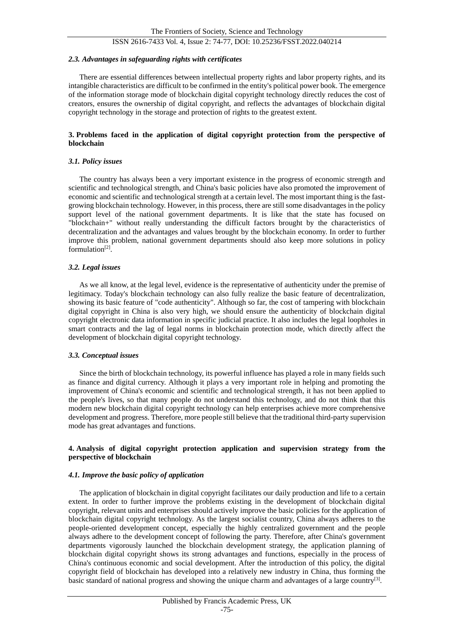# ISSN 2616-7433 Vol. 4, Issue 2: 74-77, DOI: 10.25236/FSST.2022.040214

#### *2.3. Advantages in safeguarding rights with certificates*

There are essential differences between intellectual property rights and labor property rights, and its intangible characteristics are difficult to be confirmed in the entity's political power book. The emergence of the information storage mode of blockchain digital copyright technology directly reduces the cost of creators, ensures the ownership of digital copyright, and reflects the advantages of blockchain digital copyright technology in the storage and protection of rights to the greatest extent.

#### **3. Problems faced in the application of digital copyright protection from the perspective of blockchain**

#### *3.1. Policy issues*

The country has always been a very important existence in the progress of economic strength and scientific and technological strength, and China's basic policies have also promoted the improvement of economic and scientific and technological strength at a certain level. The most important thing is the fastgrowing blockchain technology. However, in this process, there are still some disadvantages in the policy support level of the national government departments. It is like that the state has focused on "blockchain+" without really understanding the difficult factors brought by the characteristics of decentralization and the advantages and values brought by the blockchain economy. In order to further improve this problem, national government departments should also keep more solutions in policy formulation<sup>[\[2\]](#page-3-1)</sup>.

## *3.2. Legal issues*

As we all know, at the legal level, evidence is the representative of authenticity under the premise of legitimacy. Today's blockchain technology can also fully realize the basic feature of decentralization, showing its basic feature of "code authenticity". Although so far, the cost of tampering with blockchain digital copyright in China is also very high, we should ensure the authenticity of blockchain digital copyright electronic data information in specific judicial practice. It also includes the legal loopholes in smart contracts and the lag of legal norms in blockchain protection mode, which directly affect the development of blockchain digital copyright technology.

#### *3.3. Conceptual issues*

Since the birth of blockchain technology, its powerful influence has played a role in many fields such as finance and digital currency. Although it plays a very important role in helping and promoting the improvement of China's economic and scientific and technological strength, it has not been applied to the people's lives, so that many people do not understand this technology, and do not think that this modern new blockchain digital copyright technology can help enterprises achieve more comprehensive development and progress. Therefore, more people still believe that the traditional third-party supervision mode has great advantages and functions.

### **4. Analysis of digital copyright protection application and supervision strategy from the perspective of blockchain**

#### *4.1. Improve the basic policy of application*

The application of blockchain in digital copyright facilitates our daily production and life to a certain extent. In order to further improve the problems existing in the development of blockchain digital copyright, relevant units and enterprises should actively improve the basic policies for the application of blockchain digital copyright technology. As the largest socialist country, China always adheres to the people-oriented development concept, especially the highly centralized government and the people always adhere to the development concept of following the party. Therefore, after China's government departments vigorously launched the blockchain development strategy, the application planning of blockchain digital copyright shows its strong advantages and functions, especially in the process of China's continuous economic and social development. After the introduction of this policy, the digital copyright field of blockchain has developed into a relatively new industry in China, thus forming the basic standard of national progress and showing the unique charm and advantages of a large country<sup>[\[3\]](#page-3-2)</sup>.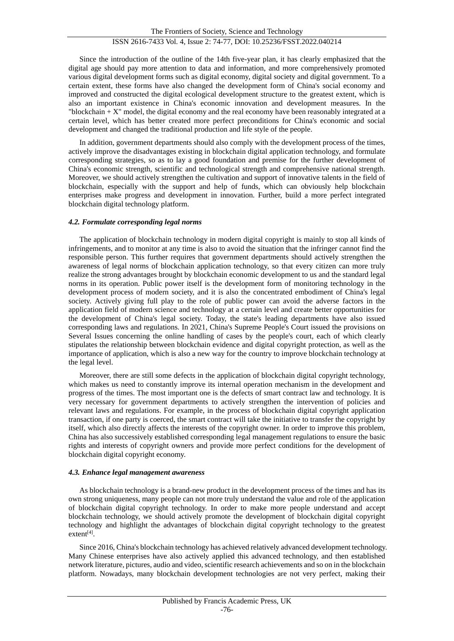Since the introduction of the outline of the 14th five-year plan, it has clearly emphasized that the digital age should pay more attention to data and information, and more comprehensively promoted various digital development forms such as digital economy, digital society and digital government. To a certain extent, these forms have also changed the development form of China's social economy and improved and constructed the digital ecological development structure to the greatest extent, which is also an important existence in China's economic innovation and development measures. In the "blockchain  $+ X$ " model, the digital economy and the real economy have been reasonably integrated at a certain level, which has better created more perfect preconditions for China's economic and social development and changed the traditional production and life style of the people.

In addition, government departments should also comply with the development process of the times, actively improve the disadvantages existing in blockchain digital application technology, and formulate corresponding strategies, so as to lay a good foundation and premise for the further development of China's economic strength, scientific and technological strength and comprehensive national strength. Moreover, we should actively strengthen the cultivation and support of innovative talents in the field of blockchain, especially with the support and help of funds, which can obviously help blockchain enterprises make progress and development in innovation. Further, build a more perfect integrated blockchain digital technology platform.

### *4.2. Formulate corresponding legal norms*

The application of blockchain technology in modern digital copyright is mainly to stop all kinds of infringements, and to monitor at any time is also to avoid the situation that the infringer cannot find the responsible person. This further requires that government departments should actively strengthen the awareness of legal norms of blockchain application technology, so that every citizen can more truly realize the strong advantages brought by blockchain economic development to us and the standard legal norms in its operation. Public power itself is the development form of monitoring technology in the development process of modern society, and it is also the concentrated embodiment of China's legal society. Actively giving full play to the role of public power can avoid the adverse factors in the application field of modern science and technology at a certain level and create better opportunities for the development of China's legal society. Today, the state's leading departments have also issued corresponding laws and regulations. In 2021, China's Supreme People's Court issued the provisions on Several Issues concerning the online handling of cases by the people's court, each of which clearly stipulates the relationship between blockchain evidence and digital copyright protection, as well as the importance of application, which is also a new way for the country to improve blockchain technology at the legal level.

Moreover, there are still some defects in the application of blockchain digital copyright technology, which makes us need to constantly improve its internal operation mechanism in the development and progress of the times. The most important one is the defects of smart contract law and technology. It is very necessary for government departments to actively strengthen the intervention of policies and relevant laws and regulations. For example, in the process of blockchain digital copyright application transaction, if one party is coerced, the smart contract will take the initiative to transfer the copyright by itself, which also directly affects the interests of the copyright owner. In order to improve this problem, China has also successively established corresponding legal management regulations to ensure the basic rights and interests of copyright owners and provide more perfect conditions for the development of blockchain digital copyright economy.

#### *4.3. Enhance legal management awareness*

As blockchain technology is a brand-new product in the development process of the times and has its own strong uniqueness, many people can not more truly understand the value and role of the application of blockchain digital copyright technology. In order to make more people understand and accept blockchain technology, we should actively promote the development of blockchain digital copyright technology and highlight the advantages of blockchain digital copyright technology to the greatest extent<sup>[\[4\]](#page-3-3)</sup>.

Since 2016, China's blockchain technology has achieved relatively advanced development technology. Many Chinese enterprises have also actively applied this advanced technology, and then established network literature, pictures, audio and video, scientific research achievements and so on in the blockchain platform. Nowadays, many blockchain development technologies are not very perfect, making their